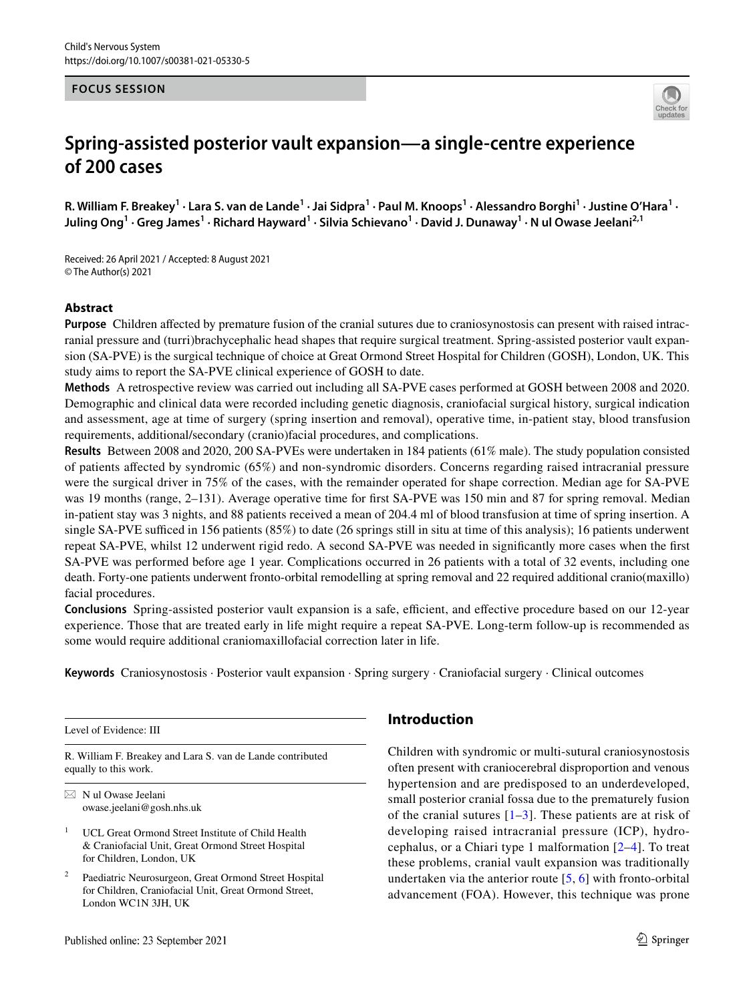### **FOCUS SESSION**



# **Spring‑assisted posterior vault expansion—a single‑centre experience of 200 cases**

R. William F. Breakey<sup>1</sup> · Lara S. van de Lande<sup>1</sup> · Jai Sidpra<sup>1</sup> · Paul M. Knoops<sup>1</sup> · Alessandro Borghi<sup>1</sup> · Justine O'Hara<sup>1</sup> · **Juling Ong1 · Greg James1 · Richard Hayward1 · Silvia Schievano1 · David J. Dunaway1 · N ul Owase Jeelani2,1**

Received: 26 April 2021 / Accepted: 8 August 2021 © The Author(s) 2021

## **Abstract**

**Purpose** Children afected by premature fusion of the cranial sutures due to craniosynostosis can present with raised intracranial pressure and (turri)brachycephalic head shapes that require surgical treatment. Spring-assisted posterior vault expansion (SA-PVE) is the surgical technique of choice at Great Ormond Street Hospital for Children (GOSH), London, UK. This study aims to report the SA-PVE clinical experience of GOSH to date.

**Methods** A retrospective review was carried out including all SA-PVE cases performed at GOSH between 2008 and 2020. Demographic and clinical data were recorded including genetic diagnosis, craniofacial surgical history, surgical indication and assessment, age at time of surgery (spring insertion and removal), operative time, in-patient stay, blood transfusion requirements, additional/secondary (cranio)facial procedures, and complications.

**Results** Between 2008 and 2020, 200 SA-PVEs were undertaken in 184 patients (61% male). The study population consisted of patients afected by syndromic (65%) and non-syndromic disorders. Concerns regarding raised intracranial pressure were the surgical driver in 75% of the cases, with the remainder operated for shape correction. Median age for SA-PVE was 19 months (range, 2–131). Average operative time for first SA-PVE was 150 min and 87 for spring removal. Median in-patient stay was 3 nights, and 88 patients received a mean of 204.4 ml of blood transfusion at time of spring insertion. A single SA-PVE sufficed in 156 patients  $(85%)$  to date (26 springs still in situ at time of this analysis); 16 patients underwent repeat SA-PVE, whilst 12 underwent rigid redo. A second SA-PVE was needed in signifcantly more cases when the frst SA-PVE was performed before age 1 year. Complications occurred in 26 patients with a total of 32 events, including one death. Forty-one patients underwent fronto-orbital remodelling at spring removal and 22 required additional cranio(maxillo) facial procedures.

**Conclusions** Spring-assisted posterior vault expansion is a safe, efficient, and effective procedure based on our 12-year experience. Those that are treated early in life might require a repeat SA-PVE. Long-term follow-up is recommended as some would require additional craniomaxillofacial correction later in life.

**Keywords** Craniosynostosis · Posterior vault expansion · Spring surgery · Craniofacial surgery · Clinical outcomes

Level of Evidence: III

R. William F. Breakey and Lara S. van de Lande contributed equally to this work.

 $\boxtimes$  N ul Owase Jeelani owase.jeelani@gosh.nhs.uk

- <sup>1</sup> UCL Great Ormond Street Institute of Child Health & Craniofacial Unit, Great Ormond Street Hospital for Children, London, UK
- Paediatric Neurosurgeon, Great Ormond Street Hospital for Children, Craniofacial Unit, Great Ormond Street, London WC1N 3JH, UK

# **Introduction**

Children with syndromic or multi-sutural craniosynostosis often present with craniocerebral disproportion and venous hypertension and are predisposed to an underdeveloped, small posterior cranial fossa due to the prematurely fusion of the cranial sutures  $[1-3]$  $[1-3]$  $[1-3]$ . These patients are at risk of developing raised intracranial pressure (ICP), hydrocephalus, or a Chiari type 1 malformation [\[2–](#page-8-2)[4\]](#page-8-3). To treat these problems, cranial vault expansion was traditionally undertaken via the anterior route [[5,](#page-8-4) [6\]](#page-8-5) with fronto-orbital advancement (FOA). However, this technique was prone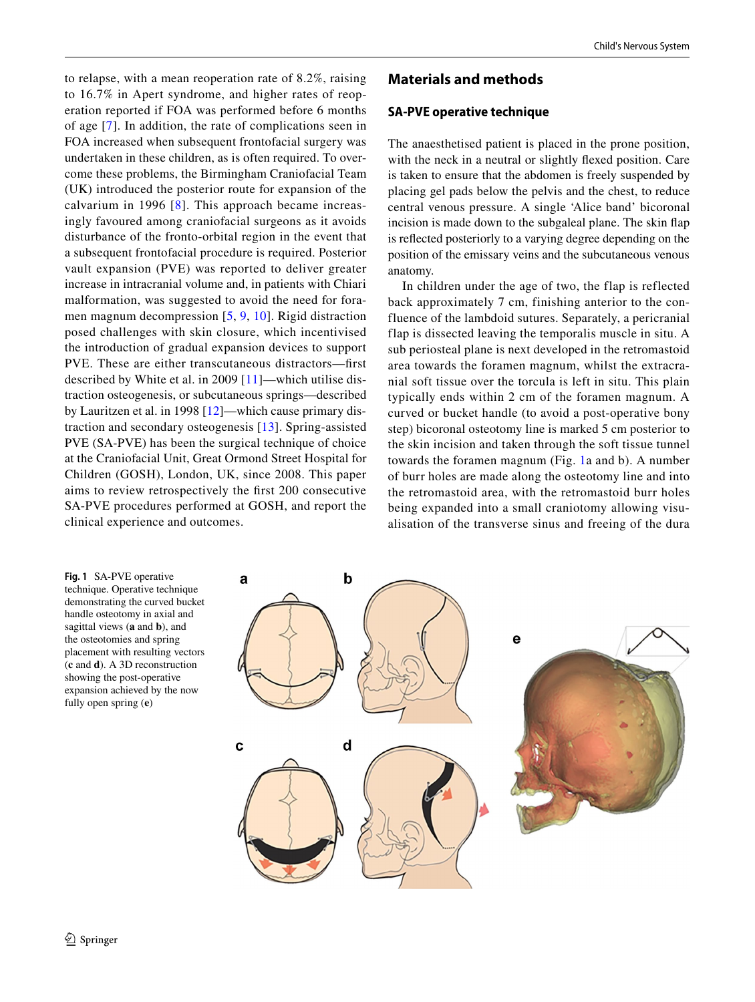to relapse, with a mean reoperation rate of 8.2%, raising to 16.7% in Apert syndrome, and higher rates of reoperation reported if FOA was performed before 6 months of age [[7](#page-8-6)]. In addition, the rate of complications seen in FOA increased when subsequent frontofacial surgery was undertaken in these children, as is often required. To overcome these problems, the Birmingham Craniofacial Team (UK) introduced the posterior route for expansion of the calvarium in 1996 [[8](#page-8-7)]. This approach became increasingly favoured among craniofacial surgeons as it avoids disturbance of the fronto-orbital region in the event that a subsequent frontofacial procedure is required. Posterior vault expansion (PVE) was reported to deliver greater increase in intracranial volume and, in patients with Chiari malformation, was suggested to avoid the need for foramen magnum decompression [[5](#page-8-4), [9,](#page-8-8) [10](#page-8-9)]. Rigid distraction posed challenges with skin closure, which incentivised the introduction of gradual expansion devices to support PVE. These are either transcutaneous distractors—frst described by White et al. in 2009 [[11](#page-8-10)]—which utilise distraction osteogenesis, or subcutaneous springs—described by Lauritzen et al. in 1998 [\[12](#page-8-11)]—which cause primary distraction and secondary osteogenesis [\[13\]](#page-8-12). Spring-assisted PVE (SA-PVE) has been the surgical technique of choice at the Craniofacial Unit, Great Ormond Street Hospital for

Children (GOSH), London, UK, since 2008. This paper aims to review retrospectively the frst 200 consecutive SA-PVE procedures performed at GOSH, and report the clinical experience and outcomes.

# **Materials and methods**

## **SA‑PVE operative technique**

The anaesthetised patient is placed in the prone position, with the neck in a neutral or slightly fexed position. Care is taken to ensure that the abdomen is freely suspended by placing gel pads below the pelvis and the chest, to reduce central venous pressure. A single 'Alice band' bicoronal incision is made down to the subgaleal plane. The skin flap is refected posteriorly to a varying degree depending on the position of the emissary veins and the subcutaneous venous anatomy.

In children under the age of two, the flap is reflected back approximately 7 cm, finishing anterior to the confluence of the lambdoid sutures. Separately, a pericranial flap is dissected leaving the temporalis muscle in situ. A sub periosteal plane is next developed in the retromastoid area towards the foramen magnum, whilst the extracranial soft tissue over the torcula is left in situ. This plain typically ends within 2 cm of the foramen magnum. A curved or bucket handle (to avoid a post-operative bony step) bicoronal osteotomy line is marked 5 cm posterior to the skin incision and taken through the soft tissue tunnel towards the foramen magnum (Fig. [1a](#page-1-0) and b). A number of burr holes are made along the osteotomy line and into the retromastoid area, with the retromastoid burr holes being expanded into a small craniotomy allowing visualisation of the transverse sinus and freeing of the dura

<span id="page-1-0"></span>**Fig. 1** SA-PVE operative technique. Operative technique demonstrating the curved bucket handle osteotomy in axial and sagittal views (**a** and **b**), and the osteotomies and spring placement with resulting vectors (**c** and **d**). A 3D reconstruction showing the post-operative expansion achieved by the now fully open spring (**e**)

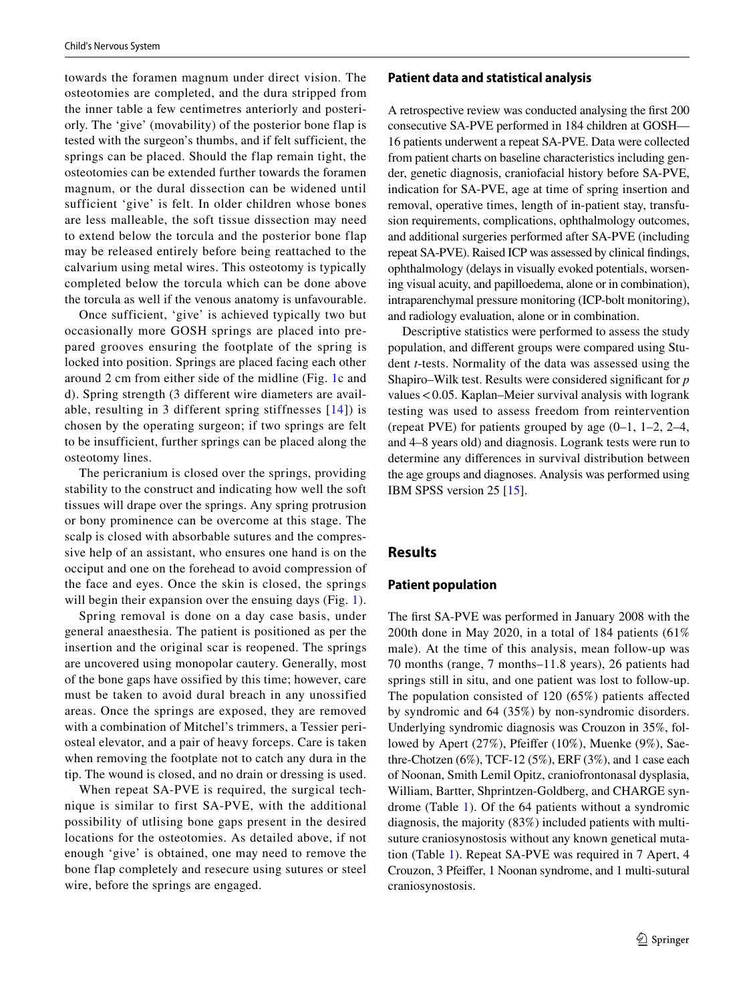towards the foramen magnum under direct vision. The osteotomies are completed, and the dura stripped from the inner table a few centimetres anteriorly and posteriorly. The 'give' (movability) of the posterior bone flap is tested with the surgeon's thumbs, and if felt sufficient, the springs can be placed. Should the flap remain tight, the osteotomies can be extended further towards the foramen magnum, or the dural dissection can be widened until sufficient 'give' is felt. In older children whose bones are less malleable, the soft tissue dissection may need to extend below the torcula and the posterior bone flap may be released entirely before being reattached to the calvarium using metal wires. This osteotomy is typically completed below the torcula which can be done above the torcula as well if the venous anatomy is unfavourable.

Once sufficient, 'give' is achieved typically two but occasionally more GOSH springs are placed into prepared grooves ensuring the footplate of the spring is locked into position. Springs are placed facing each other around 2 cm from either side of the midline (Fig. [1c](#page-1-0) and d). Spring strength (3 different wire diameters are available, resulting in 3 different spring stiffnesses  $[14]$  $[14]$  $[14]$ ) is chosen by the operating surgeon; if two springs are felt to be insufficient, further springs can be placed along the osteotomy lines.

The pericranium is closed over the springs, providing stability to the construct and indicating how well the soft tissues will drape over the springs. Any spring protrusion or bony prominence can be overcome at this stage. The scalp is closed with absorbable sutures and the compressive help of an assistant, who ensures one hand is on the occiput and one on the forehead to avoid compression of the face and eyes. Once the skin is closed, the springs will begin their expansion over the ensuing days (Fig. [1](#page-1-0)).

Spring removal is done on a day case basis, under general anaesthesia. The patient is positioned as per the insertion and the original scar is reopened. The springs are uncovered using monopolar cautery. Generally, most of the bone gaps have ossified by this time; however, care must be taken to avoid dural breach in any unossified areas. Once the springs are exposed, they are removed with a combination of Mitchel's trimmers, a Tessier periosteal elevator, and a pair of heavy forceps. Care is taken when removing the footplate not to catch any dura in the tip. The wound is closed, and no drain or dressing is used.

When repeat SA-PVE is required, the surgical technique is similar to first SA-PVE, with the additional possibility of utlising bone gaps present in the desired locations for the osteotomies. As detailed above, if not enough 'give' is obtained, one may need to remove the bone flap completely and resecure using sutures or steel wire, before the springs are engaged.

#### **Patient data and statistical analysis**

A retrospective review was conducted analysing the frst 200 consecutive SA-PVE performed in 184 children at GOSH— 16 patients underwent a repeat SA-PVE. Data were collected from patient charts on baseline characteristics including gender, genetic diagnosis, craniofacial history before SA-PVE, indication for SA-PVE, age at time of spring insertion and removal, operative times, length of in-patient stay, transfusion requirements, complications, ophthalmology outcomes, and additional surgeries performed after SA-PVE (including repeat SA-PVE). Raised ICP was assessed by clinical fndings, ophthalmology (delays in visually evoked potentials, worsening visual acuity, and papilloedema, alone or in combination), intraparenchymal pressure monitoring (ICP-bolt monitoring), and radiology evaluation, alone or in combination.

Descriptive statistics were performed to assess the study population, and diferent groups were compared using Student *t*-tests. Normality of the data was assessed using the Shapiro–Wilk test. Results were considered signifcant for *p* values<0.05. Kaplan–Meier survival analysis with logrank testing was used to assess freedom from reintervention (repeat PVE) for patients grouped by age (0–1, 1–2, 2–4, and 4–8 years old) and diagnosis. Logrank tests were run to determine any diferences in survival distribution between the age groups and diagnoses. Analysis was performed using IBM SPSS version 25 [\[15](#page-8-14)].

## **Results**

#### **Patient population**

The frst SA-PVE was performed in January 2008 with the 200th done in May 2020, in a total of 184 patients (61% male). At the time of this analysis, mean follow-up was 70 months (range, 7 months–11.8 years), 26 patients had springs still in situ, and one patient was lost to follow-up. The population consisted of 120 (65%) patients afected by syndromic and 64 (35%) by non-syndromic disorders. Underlying syndromic diagnosis was Crouzon in 35%, followed by Apert (27%), Pfeifer (10%), Muenke (9%), Saethre-Chotzen (6%), TCF-12 (5%), ERF (3%), and 1 case each of Noonan, Smith Lemil Opitz, craniofrontonasal dysplasia, William, Bartter, Shprintzen-Goldberg, and CHARGE syndrome (Table [1](#page-3-0)). Of the 64 patients without a syndromic diagnosis, the majority (83%) included patients with multisuture craniosynostosis without any known genetical mutation (Table [1](#page-3-0)). Repeat SA-PVE was required in 7 Apert, 4 Crouzon, 3 Pfeifer, 1 Noonan syndrome, and 1 multi-sutural craniosynostosis.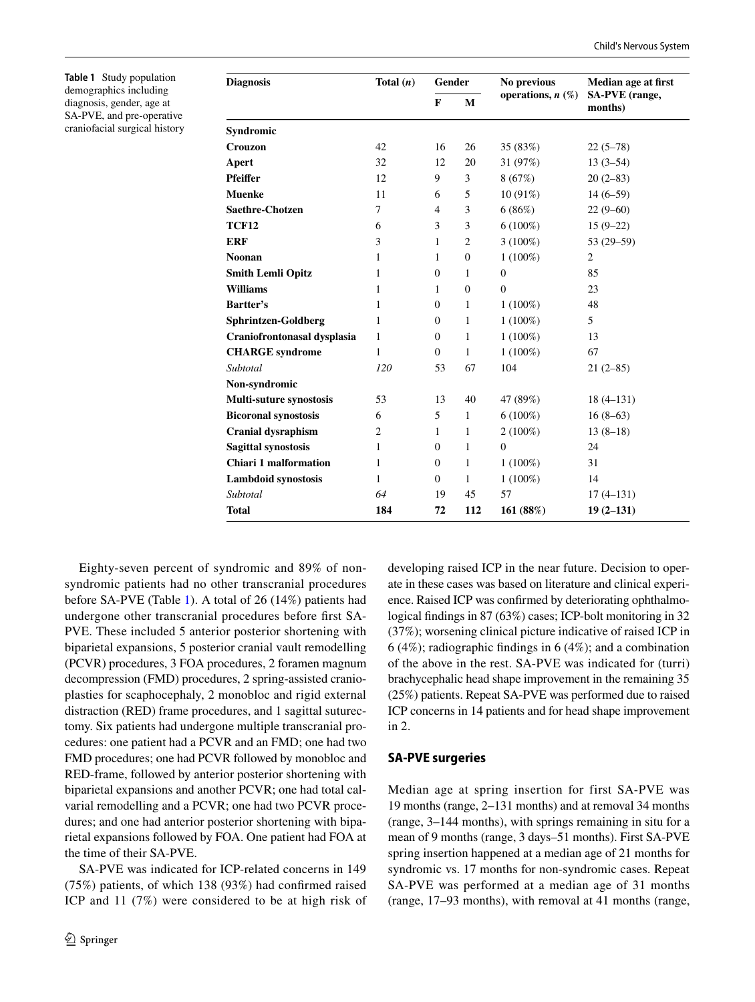<span id="page-3-0"></span>**Table 1** Study population demographics including diagnosis, gender, age at SA-PVE, and pre-operative craniofacial surgical history

| <b>Diagnosis</b>             | Total $(n)$ | Gender           |                  | No previous            | Median age at first       |  |
|------------------------------|-------------|------------------|------------------|------------------------|---------------------------|--|
|                              |             | F                | М                | operations, $n$ $(\%)$ | SA-PVE (range,<br>months) |  |
| <b>Syndromic</b>             |             |                  |                  |                        |                           |  |
| Crouzon                      | 42          | 16               | 26               | 35 (83%)               | $22(5-78)$                |  |
| Apert                        | 32          | 12               | 20               | 31 (97%)               | $13(3-54)$                |  |
| Pfeiffer                     | 12          | 9                | 3                | 8(67%)                 | $20(2-83)$                |  |
| Muenke                       | 11          | 6                | 5                | $10(91\%)$             | $14(6-59)$                |  |
| Saethre-Chotzen              | 7           | $\overline{4}$   | 3                | 6(86%)                 | $22(9-60)$                |  |
| <b>TCF12</b>                 | 6           | 3                | 3                | $6(100\%)$             | $15(9-22)$                |  |
| ERF                          | 3           | 1                | 2                | $3(100\%)$             | $53(29-59)$               |  |
| Noonan                       | 1           | 1                | $\boldsymbol{0}$ | $1(100\%)$             | $\overline{2}$            |  |
| <b>Smith Lemli Opitz</b>     | 1           | $\mathbf{0}$     | 1                | $\overline{0}$         | 85                        |  |
| <b>Williams</b>              | 1           | 1                | $\mathbf{0}$     | $\mathbf{0}$           | 23                        |  |
| <b>Bartter's</b>             | 1           | $\boldsymbol{0}$ | 1                | $1(100\%)$             | 48                        |  |
| <b>Sphrintzen-Goldberg</b>   | 1           | $\boldsymbol{0}$ | 1                | $1(100\%)$             | 5                         |  |
| Craniofrontonasal dysplasia  | 1           | $\boldsymbol{0}$ | 1                | $1(100\%)$             | 13                        |  |
| <b>CHARGE</b> syndrome       | 1           | $\boldsymbol{0}$ | 1                | $1(100\%)$             | 67                        |  |
| Subtotal                     | 120         | 53               | 67               | 104                    | $21(2-85)$                |  |
| Non-syndromic                |             |                  |                  |                        |                           |  |
| Multi-suture synostosis      | 53          | 13               | 40               | 47 (89%)               | $18(4-131)$               |  |
| <b>Bicoronal synostosis</b>  | 6           | 5                | 1                | $6(100\%)$             | $16(8-63)$                |  |
| <b>Cranial dysraphism</b>    | 2           | 1                | 1                | $2(100\%)$             | $13(8-18)$                |  |
| Sagittal synostosis          | 1           | $\mathbf{0}$     | 1                | $\overline{0}$         | 24                        |  |
| <b>Chiari 1 malformation</b> | 1           | $\boldsymbol{0}$ | 1                | $1(100\%)$             | 31                        |  |
| <b>Lambdoid synostosis</b>   | 1           | $\overline{0}$   | 1                | $1(100\%)$             | 14                        |  |
| Subtotal                     | 64          | 19               | 45               | 57                     | $17(4-131)$               |  |
| <b>Total</b>                 | 184         | 72               | 112              | 161 (88%)              | $19(2-131)$               |  |

Eighty-seven percent of syndromic and 89% of nonsyndromic patients had no other transcranial procedures before SA-PVE (Table [1](#page-3-0)). A total of 26 (14%) patients had undergone other transcranial procedures before frst SA-PVE. These included 5 anterior posterior shortening with biparietal expansions, 5 posterior cranial vault remodelling (PCVR) procedures, 3 FOA procedures, 2 foramen magnum decompression (FMD) procedures, 2 spring-assisted cranioplasties for scaphocephaly, 2 monobloc and rigid external distraction (RED) frame procedures, and 1 sagittal suturectomy. Six patients had undergone multiple transcranial procedures: one patient had a PCVR and an FMD; one had two FMD procedures; one had PCVR followed by monobloc and RED-frame, followed by anterior posterior shortening with biparietal expansions and another PCVR; one had total calvarial remodelling and a PCVR; one had two PCVR procedures; and one had anterior posterior shortening with biparietal expansions followed by FOA. One patient had FOA at the time of their SA-PVE.

SA-PVE was indicated for ICP-related concerns in 149 (75%) patients, of which 138 (93%) had confrmed raised ICP and 11 (7%) were considered to be at high risk of developing raised ICP in the near future. Decision to operate in these cases was based on literature and clinical experience. Raised ICP was confrmed by deteriorating ophthalmological fndings in 87 (63%) cases; ICP-bolt monitoring in 32 (37%); worsening clinical picture indicative of raised ICP in 6 (4%); radiographic fndings in 6 (4%); and a combination of the above in the rest. SA-PVE was indicated for (turri) brachycephalic head shape improvement in the remaining 35 (25%) patients. Repeat SA-PVE was performed due to raised ICP concerns in 14 patients and for head shape improvement in 2.

#### **SA‑PVE surgeries**

Median age at spring insertion for first SA-PVE was 19 months (range, 2–131 months) and at removal 34 months (range, 3–144 months), with springs remaining in situ for a mean of 9 months (range, 3 days–51 months). First SA-PVE spring insertion happened at a median age of 21 months for syndromic vs. 17 months for non-syndromic cases. Repeat SA-PVE was performed at a median age of 31 months (range, 17–93 months), with removal at 41 months (range,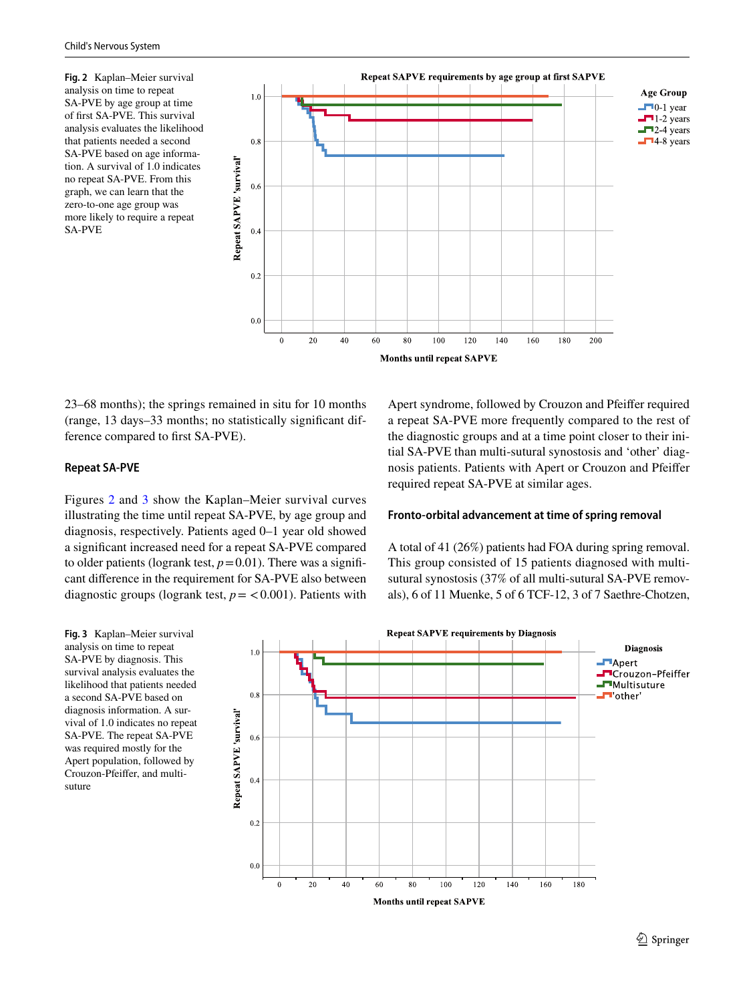<span id="page-4-0"></span>**Fig. 2** Kaplan–Meier survival analysis on time to repeat SA-PVE by age group at time of frst SA-PVE. This survival analysis evaluates the likelihood that patients needed a second SA-PVE based on age information. A survival of 1.0 indicates no repeat SA-PVE. From this graph, we can learn that the zero-to-one age group was more likely to require a repeat SA-PVE



23–68 months); the springs remained in situ for 10 months (range, 13 days–33 months; no statistically signifcant difference compared to frst SA-PVE).

#### **Repeat SA‑PVE**

Figures [2](#page-4-0) and [3](#page-4-1) show the Kaplan–Meier survival curves illustrating the time until repeat SA-PVE, by age group and diagnosis, respectively. Patients aged 0–1 year old showed a signifcant increased need for a repeat SA-PVE compared to older patients (logrank test,  $p=0.01$ ). There was a significant diference in the requirement for SA-PVE also between diagnostic groups (logrank test,  $p = < 0.001$ ). Patients with

<span id="page-4-1"></span>**Fig. 3** Kaplan–Meier survival analysis on time to repeat SA-PVE by diagnosis. This survival analysis evaluates the likelihood that patients needed a second SA-PVE based on diagnosis information. A survival of 1.0 indicates no repeat SA-PVE. The repeat SA-PVE was required mostly for the Apert population, followed by Crouzon-Pfeifer, and multisuture

Apert syndrome, followed by Crouzon and Pfeifer required a repeat SA-PVE more frequently compared to the rest of the diagnostic groups and at a time point closer to their initial SA-PVE than multi-sutural synostosis and 'other' diagnosis patients. Patients with Apert or Crouzon and Pfeifer required repeat SA-PVE at similar ages.

## **Fronto‑orbital advancement at time of spring removal**

A total of 41 (26%) patients had FOA during spring removal. This group consisted of 15 patients diagnosed with multisutural synostosis (37% of all multi-sutural SA-PVE removals), 6 of 11 Muenke, 5 of 6 TCF-12, 3 of 7 Saethre-Chotzen,

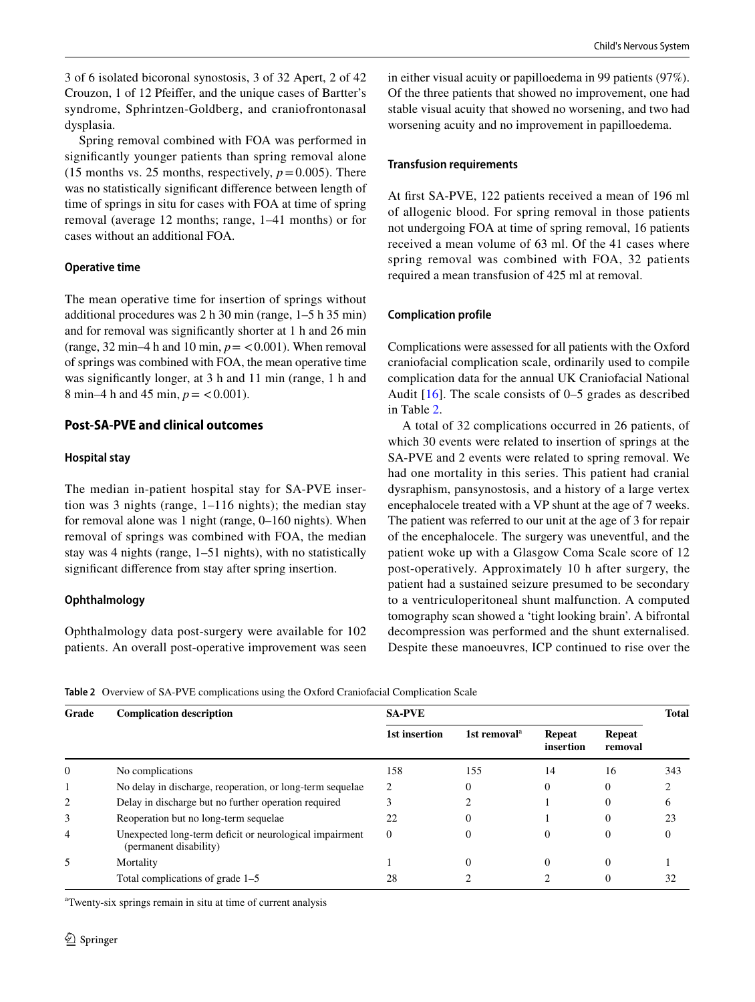3 of 6 isolated bicoronal synostosis, 3 of 32 Apert, 2 of 42 Crouzon, 1 of 12 Pfeifer, and the unique cases of Bartter's syndrome, Sphrintzen-Goldberg, and craniofrontonasal dysplasia.

Spring removal combined with FOA was performed in signifcantly younger patients than spring removal alone (15 months vs. 25 months, respectively,  $p = 0.005$ ). There was no statistically signifcant diference between length of time of springs in situ for cases with FOA at time of spring removal (average 12 months; range, 1–41 months) or for cases without an additional FOA.

#### **Operative time**

The mean operative time for insertion of springs without additional procedures was 2 h 30 min (range, 1–5 h 35 min) and for removal was signifcantly shorter at 1 h and 26 min (range, 32 min–4 h and 10 min,  $p = 0.001$ ). When removal of springs was combined with FOA, the mean operative time was signifcantly longer, at 3 h and 11 min (range, 1 h and 8 min–4 h and 45 min,  $p = < 0.001$ ).

#### **Post‑SA‑PVE and clinical outcomes**

#### **Hospital stay**

The median in-patient hospital stay for SA-PVE insertion was 3 nights (range, 1–116 nights); the median stay for removal alone was 1 night (range, 0–160 nights). When removal of springs was combined with FOA, the median stay was 4 nights (range, 1–51 nights), with no statistically signifcant diference from stay after spring insertion.

#### **Ophthalmology**

Ophthalmology data post-surgery were available for 102 patients. An overall post-operative improvement was seen in either visual acuity or papilloedema in 99 patients (97%). Of the three patients that showed no improvement, one had stable visual acuity that showed no worsening, and two had worsening acuity and no improvement in papilloedema.

#### **Transfusion requirements**

At frst SA-PVE, 122 patients received a mean of 196 ml of allogenic blood. For spring removal in those patients not undergoing FOA at time of spring removal, 16 patients received a mean volume of 63 ml. Of the 41 cases where spring removal was combined with FOA, 32 patients required a mean transfusion of 425 ml at removal.

#### **Complication profile**

Complications were assessed for all patients with the Oxford craniofacial complication scale, ordinarily used to compile complication data for the annual UK Craniofacial National Audit  $[16]$  $[16]$  $[16]$ . The scale consists of 0–5 grades as described in Table [2.](#page-5-0)

A total of 32 complications occurred in 26 patients, of which 30 events were related to insertion of springs at the SA-PVE and 2 events were related to spring removal. We had one mortality in this series. This patient had cranial dysraphism, pansynostosis, and a history of a large vertex encephalocele treated with a VP shunt at the age of 7 weeks. The patient was referred to our unit at the age of 3 for repair of the encephalocele. The surgery was uneventful, and the patient woke up with a Glasgow Coma Scale score of 12 post-operatively. Approximately 10 h after surgery, the patient had a sustained seizure presumed to be secondary to a ventriculoperitoneal shunt malfunction. A computed tomography scan showed a 'tight looking brain'. A bifrontal decompression was performed and the shunt externalised. Despite these manoeuvres, ICP continued to rise over the

<span id="page-5-0"></span>**Table 2** Overview of SA-PVE complications using the Oxford Craniofacial Complication Scale

| Grade | <b>Complication description</b>                                                   | <b>SA-PVE</b> |                          |                            |                          |     |
|-------|-----------------------------------------------------------------------------------|---------------|--------------------------|----------------------------|--------------------------|-----|
|       |                                                                                   | 1st insertion | 1st removal <sup>a</sup> | <b>Repeat</b><br>insertion | <b>Repeat</b><br>removal |     |
| 0     | No complications                                                                  | 158           | 155                      | 14                         | 16                       | 343 |
|       | No delay in discharge, reoperation, or long-term sequelae                         | 2             | 0                        | 0                          | 0                        |     |
| 2     | Delay in discharge but no further operation required                              |               |                          |                            | 0                        | 6   |
| 3     | Reoperation but no long-term sequelae.                                            | 22            | 0                        |                            | 0                        | 23  |
| 4     | Unexpected long-term deficit or neurological impairment<br>(permanent disability) | $\Omega$      | 0                        | 0                          | 0                        | 0   |
| 5     | Mortality                                                                         |               | 0                        | 0                          | 0                        |     |
|       | Total complications of grade 1–5                                                  | 28            |                          |                            |                          | 32  |

a Twenty-six springs remain in situ at time of current analysis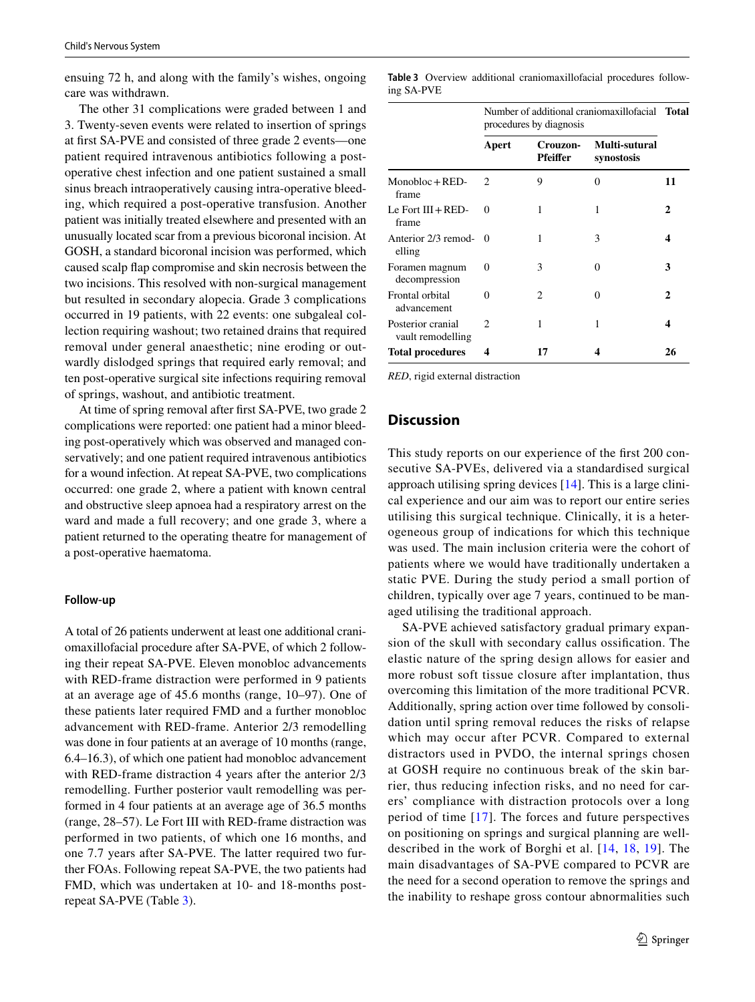ensuing 72 h, and along with the family's wishes, ongoing care was withdrawn.

The other 31 complications were graded between 1 and 3. Twenty-seven events were related to insertion of springs at frst SA-PVE and consisted of three grade 2 events—one patient required intravenous antibiotics following a postoperative chest infection and one patient sustained a small sinus breach intraoperatively causing intra-operative bleeding, which required a post-operative transfusion. Another patient was initially treated elsewhere and presented with an unusually located scar from a previous bicoronal incision. At GOSH, a standard bicoronal incision was performed, which caused scalp fap compromise and skin necrosis between the two incisions. This resolved with non-surgical management but resulted in secondary alopecia. Grade 3 complications occurred in 19 patients, with 22 events: one subgaleal collection requiring washout; two retained drains that required removal under general anaesthetic; nine eroding or outwardly dislodged springs that required early removal; and ten post-operative surgical site infections requiring removal of springs, washout, and antibiotic treatment.

At time of spring removal after frst SA-PVE, two grade 2 complications were reported: one patient had a minor bleeding post-operatively which was observed and managed conservatively; and one patient required intravenous antibiotics for a wound infection. At repeat SA-PVE, two complications occurred: one grade 2, where a patient with known central and obstructive sleep apnoea had a respiratory arrest on the ward and made a full recovery; and one grade 3, where a patient returned to the operating theatre for management of a post-operative haematoma.

#### **Follow‑up**

A total of 26 patients underwent at least one additional craniomaxillofacial procedure after SA-PVE, of which 2 following their repeat SA-PVE. Eleven monobloc advancements with RED-frame distraction were performed in 9 patients at an average age of 45.6 months (range, 10–97). One of these patients later required FMD and a further monobloc advancement with RED-frame. Anterior 2/3 remodelling was done in four patients at an average of 10 months (range, 6.4–16.3), of which one patient had monobloc advancement with RED-frame distraction 4 years after the anterior 2/3 remodelling. Further posterior vault remodelling was performed in 4 four patients at an average age of 36.5 months (range, 28–57). Le Fort III with RED-frame distraction was performed in two patients, of which one 16 months, and one 7.7 years after SA-PVE. The latter required two further FOAs. Following repeat SA-PVE, the two patients had FMD, which was undertaken at 10- and 18-months postrepeat SA-PVE (Table [3\)](#page-6-0).

<span id="page-6-0"></span>**Table 3** Overview additional craniomaxillofacial procedures following SA-PVE

|                                        | Number of additional craniomaxillofacial Total<br>procedures by diagnosis |                             |                             |              |
|----------------------------------------|---------------------------------------------------------------------------|-----------------------------|-----------------------------|--------------|
|                                        | Apert                                                                     | Crouzon-<br><b>Pfeiffer</b> | Multi-sutural<br>synostosis |              |
| $Monobloc + RED-$<br>frame             | $\mathfrak{D}_{\mathfrak{p}}$                                             | 9                           | $\Omega$                    | 11           |
| Le Fort $III + RED-$<br>frame          | 0                                                                         | 1                           | 1                           | $\mathbf{2}$ |
| Anterior 2/3 remod-<br>elling          | 0                                                                         | 1                           | 3                           | 4            |
| Foramen magnum<br>decompression        | $\Omega$                                                                  | 3                           | 0                           | 3            |
| Frontal orbital<br>advancement         | 0                                                                         | 2                           | 0                           | 2            |
| Posterior cranial<br>vault remodelling | 2                                                                         |                             | 1                           | 4            |
| <b>Total procedures</b>                | 4                                                                         | 17                          | 4                           | 26           |

*RED*, rigid external distraction

### **Discussion**

This study reports on our experience of the frst 200 consecutive SA-PVEs, delivered via a standardised surgical approach utilising spring devices [\[14\]](#page-8-13). This is a large clinical experience and our aim was to report our entire series utilising this surgical technique. Clinically, it is a heterogeneous group of indications for which this technique was used. The main inclusion criteria were the cohort of patients where we would have traditionally undertaken a static PVE. During the study period a small portion of children, typically over age 7 years, continued to be managed utilising the traditional approach.

SA-PVE achieved satisfactory gradual primary expansion of the skull with secondary callus ossifcation. The elastic nature of the spring design allows for easier and more robust soft tissue closure after implantation, thus overcoming this limitation of the more traditional PCVR. Additionally, spring action over time followed by consolidation until spring removal reduces the risks of relapse which may occur after PCVR. Compared to external distractors used in PVDO, the internal springs chosen at GOSH require no continuous break of the skin barrier, thus reducing infection risks, and no need for carers' compliance with distraction protocols over a long period of time [[17\]](#page-8-16). The forces and future perspectives on positioning on springs and surgical planning are welldescribed in the work of Borghi et al. [[14,](#page-8-13) [18](#page-8-17), [19\]](#page-8-18). The main disadvantages of SA-PVE compared to PCVR are the need for a second operation to remove the springs and the inability to reshape gross contour abnormalities such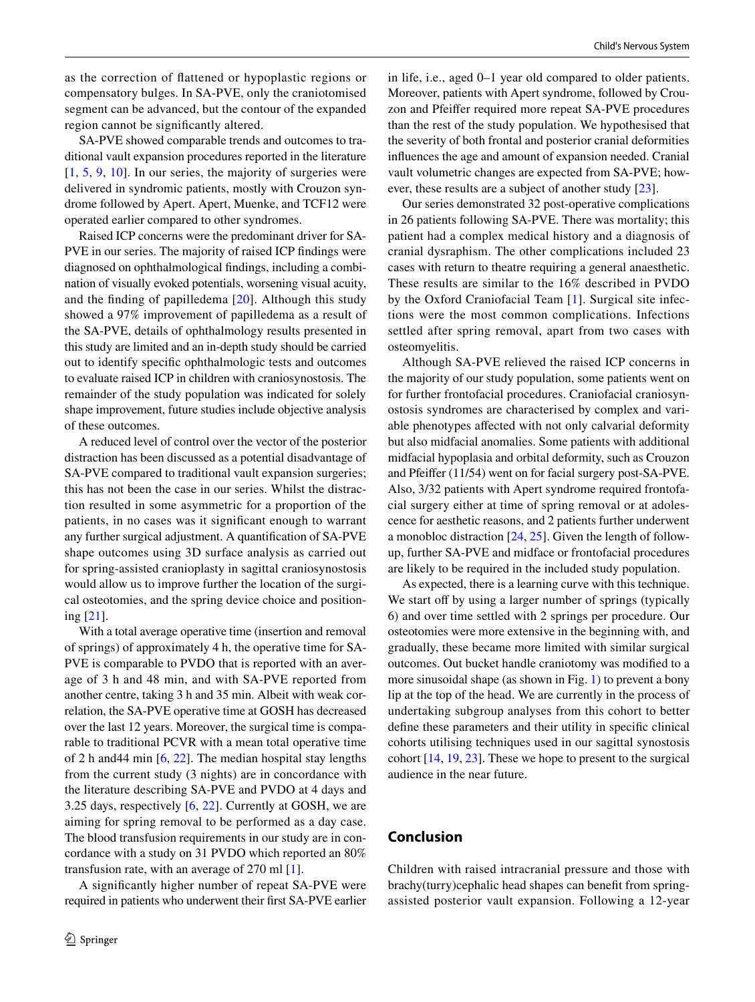as the correction of fattened or hypoplastic regions or compensatory bulges. In SA-PVE, only the craniotomised segment can be advanced, but the contour of the expanded region cannot be signifcantly altered.

SA-PVE showed comparable trends and outcomes to traditional vault expansion procedures reported in the literature  $[1, 5, 9, 10]$  $[1, 5, 9, 10]$  $[1, 5, 9, 10]$  $[1, 5, 9, 10]$  $[1, 5, 9, 10]$  $[1, 5, 9, 10]$  $[1, 5, 9, 10]$  $[1, 5, 9, 10]$ . In our series, the majority of surgeries were delivered in syndromic patients, mostly with Crouzon syndrome followed by Apert. Apert, Muenke, and TCF12 were operated earlier compared to other syndromes.

Raised ICP concerns were the predominant driver for SA-PVE in our series. The majority of raised ICP fndings were diagnosed on ophthalmological fndings, including a combination of visually evoked potentials, worsening visual acuity, and the finding of papilledema  $[20]$  $[20]$  $[20]$ . Although this study showed a 97% improvement of papilledema as a result of the SA-PVE, details of ophthalmology results presented in this study are limited and an in-depth study should be carried out to identify specifc ophthalmologic tests and outcomes to evaluate raised ICP in children with craniosynostosis. The remainder of the study population was indicated for solely shape improvement, future studies include objective analysis of these outcomes.

A reduced level of control over the vector of the posterior distraction has been discussed as a potential disadvantage of SA-PVE compared to traditional vault expansion surgeries; this has not been the case in our series. Whilst the distraction resulted in some asymmetric for a proportion of the patients, in no cases was it signifcant enough to warrant any further surgical adjustment. A quantifcation of SA-PVE shape outcomes using 3D surface analysis as carried out for spring-assisted cranioplasty in sagittal craniosynostosis would allow us to improve further the location of the surgical osteotomies, and the spring device choice and positioning [[21\]](#page-8-20).

With a total average operative time (insertion and removal of springs) of approximately 4 h, the operative time for SA-PVE is comparable to PVDO that is reported with an average of 3 h and 48 min, and with SA-PVE reported from another centre, taking 3 h and 35 min. Albeit with weak correlation, the SA-PVE operative time at GOSH has decreased over the last 12 years. Moreover, the surgical time is comparable to traditional PCVR with a mean total operative time of 2 h and44 min [[6,](#page-8-5) [22\]](#page-8-21). The median hospital stay lengths from the current study (3 nights) are in concordance with the literature describing SA-PVE and PVDO at 4 days and 3.25 days, respectively [\[6](#page-8-5), [22\]](#page-8-21). Currently at GOSH, we are aiming for spring removal to be performed as a day case. The blood transfusion requirements in our study are in concordance with a study on 31 PVDO which reported an 80% transfusion rate, with an average of 270 ml [[1](#page-8-0)].

A signifcantly higher number of repeat SA-PVE were required in patients who underwent their frst SA-PVE earlier in life, i.e., aged 0–1 year old compared to older patients. Moreover, patients with Apert syndrome, followed by Crouzon and Pfeifer required more repeat SA-PVE procedures than the rest of the study population. We hypothesised that the severity of both frontal and posterior cranial deformities infuences the age and amount of expansion needed. Cranial vault volumetric changes are expected from SA-PVE; however, these results are a subject of another study [[23](#page-8-22)].

Our series demonstrated 32 post-operative complications in 26 patients following SA-PVE. There was mortality; this patient had a complex medical history and a diagnosis of cranial dysraphism. The other complications included 23 cases with return to theatre requiring a general anaesthetic. These results are similar to the 16% described in PVDO by the Oxford Craniofacial Team [[1](#page-8-0)]. Surgical site infections were the most common complications. Infections settled after spring removal, apart from two cases with osteomyelitis.

Although SA-PVE relieved the raised ICP concerns in the majority of our study population, some patients went on for further frontofacial procedures. Craniofacial craniosynostosis syndromes are characterised by complex and variable phenotypes afected with not only calvarial deformity but also midfacial anomalies. Some patients with additional midfacial hypoplasia and orbital deformity, such as Crouzon and Pfeifer (11/54) went on for facial surgery post-SA-PVE. Also, 3/32 patients with Apert syndrome required frontofacial surgery either at time of spring removal or at adolescence for aesthetic reasons, and 2 patients further underwent a monobloc distraction [\[24](#page-8-23), [25](#page-8-24)]. Given the length of followup, further SA-PVE and midface or frontofacial procedures are likely to be required in the included study population.

As expected, there is a learning curve with this technique. We start off by using a larger number of springs (typically 6) and over time settled with 2 springs per procedure. Our osteotomies were more extensive in the beginning with, and gradually, these became more limited with similar surgical outcomes. Out bucket handle craniotomy was modifed to a more sinusoidal shape (as shown in Fig. [1\)](#page-1-0) to prevent a bony lip at the top of the head. We are currently in the process of undertaking subgroup analyses from this cohort to better defne these parameters and their utility in specifc clinical cohorts utilising techniques used in our sagittal synostosis cohort [[14,](#page-8-13) [19](#page-8-18), [23](#page-8-22)]. These we hope to present to the surgical audience in the near future.

## **Conclusion**

Children with raised intracranial pressure and those with brachy(turry)cephalic head shapes can beneft from springassisted posterior vault expansion. Following a 12-year